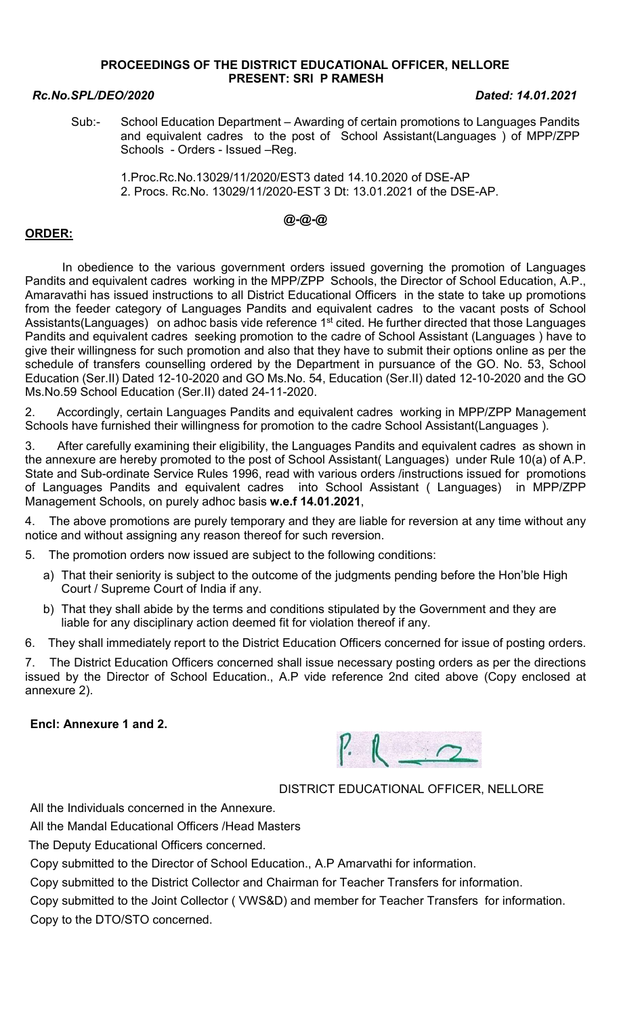## PROCEEDINGS OF THE DISTRICT EDUCATIONAL OFFICER, NELLORE PRESENT: SRI P RAMESH

#### Rc.No.SPL/DEO/2020 Dated: 14.01.2021

Sub:- School Education Department – Awarding of certain promotions to Languages Pandits and equivalent cadres to the post of School Assistant(Languages ) of MPP/ZPP Schools - Orders - Issued –Reg.

 1.Proc.Rc.No.13029/11/2020/EST3 dated 14.10.2020 of DSE-AP 2. Procs. Rc.No. 13029/11/2020-EST 3 Dt: 13.01.2021 of the DSE-AP.

# @-@-@

## ORDER:

 In obedience to the various government orders issued governing the promotion of Languages Pandits and equivalent cadres working in the MPP/ZPP Schools, the Director of School Education, A.P., Amaravathi has issued instructions to all District Educational Officers in the state to take up promotions from the feeder category of Languages Pandits and equivalent cadres to the vacant posts of School Assistants(Languages) on adhoc basis vide reference 1<sup>st</sup> cited. He further directed that those Languages Pandits and equivalent cadres seeking promotion to the cadre of School Assistant (Languages ) have to give their willingness for such promotion and also that they have to submit their options online as per the schedule of transfers counselling ordered by the Department in pursuance of the GO. No. 53, School Education (Ser.II) Dated 12-10-2020 and GO Ms.No. 54, Education (Ser.II) dated 12-10-2020 and the GO Ms.No.59 School Education (Ser.II) dated 24-11-2020.

2. Accordingly, certain Languages Pandits and equivalent cadres working in MPP/ZPP Management Schools have furnished their willingness for promotion to the cadre School Assistant(Languages ).

3. After carefully examining their eligibility, the Languages Pandits and equivalent cadres as shown in the annexure are hereby promoted to the post of School Assistant( Languages) under Rule 10(a) of A.P. State and Sub-ordinate Service Rules 1996, read with various orders /instructions issued for promotions of Languages Pandits and equivalent cadres into School Assistant ( Languages) in MPP/ZPP Management Schools, on purely adhoc basis w.e.f 14.01.2021,

4. The above promotions are purely temporary and they are liable for reversion at any time without any notice and without assigning any reason thereof for such reversion.

5. The promotion orders now issued are subject to the following conditions:

- a) That their seniority is subject to the outcome of the judgments pending before the Hon'ble High Court / Supreme Court of India if any.
- b) That they shall abide by the terms and conditions stipulated by the Government and they are liable for any disciplinary action deemed fit for violation thereof if any.

6. They shall immediately report to the District Education Officers concerned for issue of posting orders.

7. The District Education Officers concerned shall issue necessary posting orders as per the directions issued by the Director of School Education., A.P vide reference 2nd cited above (Copy enclosed at annexure 2).

## Encl: Annexure 1 and 2.



# DISTRICT EDUCATIONAL OFFICER, NELLORE

All the Individuals concerned in the Annexure.

All the Mandal Educational Officers /Head Masters

The Deputy Educational Officers concerned.

Copy submitted to the Director of School Education., A.P Amarvathi for information.

Copy submitted to the District Collector and Chairman for Teacher Transfers for information.

Copy submitted to the Joint Collector ( VWS&D) and member for Teacher Transfers for information. Copy to the DTO/STO concerned.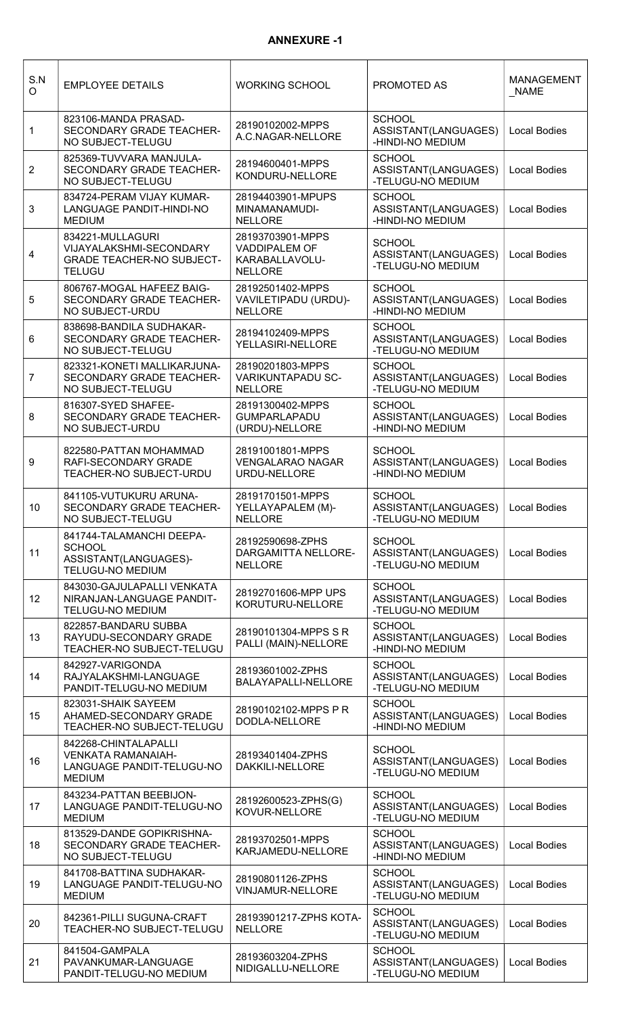## ANNEXURE -1

| S.N<br>O       | <b>EMPLOYEE DETAILS</b>                                                                          | <b>WORKING SCHOOL</b>                                                        | PROMOTED AS                                                               | <b>MANAGEMENT</b><br><b>NAME</b> |
|----------------|--------------------------------------------------------------------------------------------------|------------------------------------------------------------------------------|---------------------------------------------------------------------------|----------------------------------|
| 1              | 823106-MANDA PRASAD-<br>SECONDARY GRADE TEACHER-<br>NO SUBJECT-TELUGU                            | 28190102002-MPPS<br>A.C.NAGAR-NELLORE                                        | <b>SCHOOL</b><br>ASSISTANT(LANGUAGES)<br>-HINDI-NO MEDIUM                 | <b>Local Bodies</b>              |
| $\overline{2}$ | 825369-TUVVARA MANJULA-<br>SECONDARY GRADE TEACHER-<br>NO SUBJECT-TELUGU                         | 28194600401-MPPS<br>KONDURU-NELLORE                                          | <b>SCHOOL</b><br>ASSISTANT(LANGUAGES)<br>-TELUGU-NO MEDIUM                | <b>Local Bodies</b>              |
| $\mathbf{3}$   | 834724-PERAM VIJAY KUMAR-<br>LANGUAGE PANDIT-HINDI-NO<br><b>MEDIUM</b>                           | 28194403901-MPUPS<br>MINAMANAMUDI-<br><b>NELLORE</b>                         | <b>SCHOOL</b><br>ASSISTANT(LANGUAGES)<br>-HINDI-NO MEDIUM                 | <b>Local Bodies</b>              |
| 4              | 834221-MULLAGURI<br>VIJAYALAKSHMI-SECONDARY<br><b>GRADE TEACHER-NO SUBJECT-</b><br><b>TELUGU</b> | 28193703901-MPPS<br><b>VADDIPALEM OF</b><br>KARABALLAVOLU-<br><b>NELLORE</b> | <b>SCHOOL</b><br>ASSISTANT(LANGUAGES)<br>-TELUGU-NO MEDIUM                | <b>Local Bodies</b>              |
| 5              | 806767-MOGAL HAFEEZ BAIG-<br>SECONDARY GRADE TEACHER-<br>NO SUBJECT-URDU                         | 28192501402-MPPS<br>VAVILETIPADU (URDU)-<br><b>NELLORE</b>                   | <b>SCHOOL</b><br>ASSISTANT(LANGUAGES)<br>-HINDI-NO MEDIUM                 | <b>Local Bodies</b>              |
| 6              | 838698-BANDILA SUDHAKAR-<br>SECONDARY GRADE TEACHER-<br>NO SUBJECT-TELUGU                        | 28194102409-MPPS<br>YELLASIRI-NELLORE                                        | <b>SCHOOL</b><br>ASSISTANT(LANGUAGES)<br>-TELUGU-NO MEDIUM                | <b>Local Bodies</b>              |
| $\overline{7}$ | 823321-KONETI MALLIKARJUNA-<br>SECONDARY GRADE TEACHER-<br>NO SUBJECT-TELUGU                     | 28190201803-MPPS<br>VARIKUNTAPADU SC-<br><b>NELLORE</b>                      | <b>SCHOOL</b><br>ASSISTANT(LANGUAGES)<br>-TELUGU-NO MEDIUM                | <b>Local Bodies</b>              |
| 8              | 816307-SYED SHAFEE-<br>SECONDARY GRADE TEACHER-<br>NO SUBJECT-URDU                               | 28191300402-MPPS<br><b>GUMPARLAPADU</b><br>(URDU)-NELLORE                    | <b>SCHOOL</b><br>ASSISTANT(LANGUAGES)<br>-HINDI-NO MEDIUM                 | <b>Local Bodies</b>              |
| 9              | 822580-PATTAN MOHAMMAD<br>RAFI-SECONDARY GRADE<br>TEACHER-NO SUBJECT-URDU                        | 28191001801-MPPS<br><b>VENGALARAO NAGAR</b><br>URDU-NELLORE                  | <b>SCHOOL</b><br>ASSISTANT(LANGUAGES)<br>-HINDI-NO MEDIUM                 | <b>Local Bodies</b>              |
| 10             | 841105-VUTUKURU ARUNA-<br>SECONDARY GRADE TEACHER-<br>NO SUBJECT-TELUGU                          | 28191701501-MPPS<br>YELLAYAPALEM (M)-<br><b>NELLORE</b>                      | <b>SCHOOL</b><br>ASSISTANT(LANGUAGES)   Local Bodies<br>-TELUGU-NO MEDIUM |                                  |
| 11             | 841744-TALAMANCHI DEEPA-<br><b>SCHOOL</b><br>ASSISTANT(LANGUAGES)-<br>TELUGU-NO MEDIUM           | 28192590698-ZPHS<br>DARGAMITTA NELLORE-<br><b>NELLORE</b>                    | <b>SCHOOL</b><br>ASSISTANT(LANGUAGES)<br>-TELUGU-NO MEDIUM                | Local Bodies                     |
| 12             | 843030-GAJULAPALLI VENKATA<br>NIRANJAN-LANGUAGE PANDIT-<br><b>TELUGU-NO MEDIUM</b>               | 28192701606-MPP UPS<br>KORUTURU-NELLORE                                      | <b>SCHOOL</b><br>ASSISTANT(LANGUAGES)<br>-TELUGU-NO MEDIUM                | <b>Local Bodies</b>              |
| 13             | 822857-BANDARU SUBBA<br>RAYUDU-SECONDARY GRADE<br>TEACHER-NO SUBJECT-TELUGU                      | 28190101304-MPPS S R<br>PALLI (MAIN)-NELLORE                                 | <b>SCHOOL</b><br>ASSISTANT(LANGUAGES)<br>-HINDI-NO MEDIUM                 | Local Bodies                     |
| 14             | 842927-VARIGONDA<br>RAJYALAKSHMI-LANGUAGE<br>PANDIT-TELUGU-NO MEDIUM                             | 28193601002-ZPHS<br>BALAYAPALLI-NELLORE                                      | <b>SCHOOL</b><br>ASSISTANT(LANGUAGES)<br>-TELUGU-NO MEDIUM                | <b>Local Bodies</b>              |
| 15             | 823031-SHAIK SAYEEM<br>AHAMED-SECONDARY GRADE<br>TEACHER-NO SUBJECT-TELUGU                       | 28190102102-MPPS P R<br>DODLA-NELLORE                                        | <b>SCHOOL</b><br>ASSISTANT(LANGUAGES)<br>-HINDI-NO MEDIUM                 | <b>Local Bodies</b>              |
| 16             | 842268-CHINTALAPALLI<br><b>VENKATA RAMANAIAH-</b><br>LANGUAGE PANDIT-TELUGU-NO<br><b>MEDIUM</b>  | 28193401404-ZPHS<br>DAKKILI-NELLORE                                          | <b>SCHOOL</b><br>ASSISTANT(LANGUAGES)<br>-TELUGU-NO MEDIUM                | <b>Local Bodies</b>              |
| 17             | 843234-PATTAN BEEBIJON-<br>LANGUAGE PANDIT-TELUGU-NO<br><b>MEDIUM</b>                            | 28192600523-ZPHS(G)<br>KOVUR-NELLORE                                         | <b>SCHOOL</b><br>ASSISTANT(LANGUAGES)<br>-TELUGU-NO MEDIUM                | Local Bodies                     |
| 18             | 813529-DANDE GOPIKRISHNA-<br>SECONDARY GRADE TEACHER-<br>NO SUBJECT-TELUGU                       | 28193702501-MPPS<br>KARJAMEDU-NELLORE                                        | <b>SCHOOL</b><br>ASSISTANT(LANGUAGES)<br>-HINDI-NO MEDIUM                 | <b>Local Bodies</b>              |
| 19             | 841708-BATTINA SUDHAKAR-<br>LANGUAGE PANDIT-TELUGU-NO<br><b>MEDIUM</b>                           | 28190801126-ZPHS<br>VINJAMUR-NELLORE                                         | <b>SCHOOL</b><br>ASSISTANT(LANGUAGES)<br>-TELUGU-NO MEDIUM                | <b>Local Bodies</b>              |
| 20             | 842361-PILLI SUGUNA-CRAFT<br>TEACHER-NO SUBJECT-TELUGU                                           | 28193901217-ZPHS KOTA-<br><b>NELLORE</b>                                     | <b>SCHOOL</b><br>ASSISTANT(LANGUAGES)<br>-TELUGU-NO MEDIUM                | <b>Local Bodies</b>              |
| 21             | 841504-GAMPALA<br>PAVANKUMAR-LANGUAGE<br>PANDIT-TELUGU-NO MEDIUM                                 | 28193603204-ZPHS<br>NIDIGALLU-NELLORE                                        | <b>SCHOOL</b><br>ASSISTANT(LANGUAGES)   Local Bodies<br>-TELUGU-NO MEDIUM |                                  |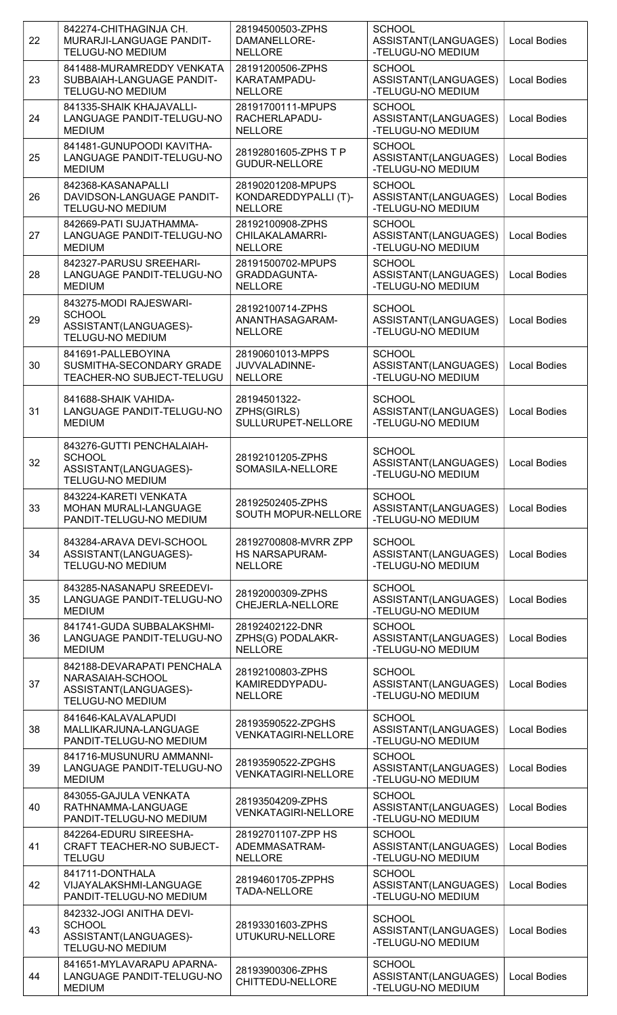| 22 | 842274-CHITHAGINJA CH.<br>MURARJI-LANGUAGE PANDIT-                                                 | 28194500503-ZPHS<br>DAMANELLORE-                                | <b>SCHOOL</b><br>ASSISTANT(LANGUAGES)                      | <b>Local Bodies</b> |
|----|----------------------------------------------------------------------------------------------------|-----------------------------------------------------------------|------------------------------------------------------------|---------------------|
|    | <b>TELUGU-NO MEDIUM</b>                                                                            | <b>NELLORE</b>                                                  | -TELUGU-NO MEDIUM                                          |                     |
| 23 | 841488-MURAMREDDY VENKATA<br>SUBBAIAH-LANGUAGE PANDIT-<br><b>TELUGU-NO MEDIUM</b>                  | 28191200506-ZPHS<br>KARATAMPADU-<br><b>NELLORE</b>              | <b>SCHOOL</b><br>ASSISTANT(LANGUAGES)<br>-TELUGU-NO MEDIUM | <b>Local Bodies</b> |
| 24 | 841335-SHAIK KHAJAVALLI-<br>LANGUAGE PANDIT-TELUGU-NO<br><b>MEDIUM</b>                             | 28191700111-MPUPS<br>RACHERLAPADU-<br><b>NELLORE</b>            | <b>SCHOOL</b><br>ASSISTANT(LANGUAGES)<br>-TELUGU-NO MEDIUM | <b>Local Bodies</b> |
| 25 | 841481-GUNUPOODI KAVITHA-<br>LANGUAGE PANDIT-TELUGU-NO<br><b>MEDIUM</b>                            | 28192801605-ZPHS T P<br><b>GUDUR-NELLORE</b>                    | <b>SCHOOL</b><br>ASSISTANT(LANGUAGES)<br>-TELUGU-NO MEDIUM | <b>Local Bodies</b> |
| 26 | 842368-KASANAPALLI<br>DAVIDSON-LANGUAGE PANDIT-<br>TELUGU-NO MEDIUM                                | 28190201208-MPUPS<br>KONDAREDDYPALLI (T)-<br><b>NELLORE</b>     | <b>SCHOOL</b><br>ASSISTANT(LANGUAGES)<br>-TELUGU-NO MEDIUM | Local Bodies        |
| 27 | 842669-PATI SUJATHAMMA-<br>LANGUAGE PANDIT-TELUGU-NO<br><b>MEDIUM</b>                              | 28192100908-ZPHS<br>CHILAKALAMARRI-<br><b>NELLORE</b>           | <b>SCHOOL</b><br>ASSISTANT(LANGUAGES)<br>-TELUGU-NO MEDIUM | <b>Local Bodies</b> |
| 28 | 842327-PARUSU SREEHARI-<br>LANGUAGE PANDIT-TELUGU-NO<br><b>MEDIUM</b>                              | 28191500702-MPUPS<br>GRADDAGUNTA-<br><b>NELLORE</b>             | <b>SCHOOL</b><br>ASSISTANT(LANGUAGES)<br>-TELUGU-NO MEDIUM | <b>Local Bodies</b> |
| 29 | 843275-MODI RAJESWARI-<br><b>SCHOOL</b><br>ASSISTANT(LANGUAGES)-<br>TELUGU-NO MEDIUM               | 28192100714-ZPHS<br>ANANTHASAGARAM-<br><b>NELLORE</b>           | <b>SCHOOL</b><br>ASSISTANT(LANGUAGES)<br>-TELUGU-NO MEDIUM | <b>Local Bodies</b> |
| 30 | 841691-PALLEBOYINA<br>SUSMITHA-SECONDARY GRADE<br>TEACHER-NO SUBJECT-TELUGU                        | 28190601013-MPPS<br>JUVVALADINNE-<br><b>NELLORE</b>             | <b>SCHOOL</b><br>ASSISTANT(LANGUAGES)<br>-TELUGU-NO MEDIUM | <b>Local Bodies</b> |
| 31 | 841688-SHAIK VAHIDA-<br>LANGUAGE PANDIT-TELUGU-NO<br><b>MEDIUM</b>                                 | 28194501322-<br>ZPHS(GIRLS)<br>SULLURUPET-NELLORE               | <b>SCHOOL</b><br>ASSISTANT(LANGUAGES)<br>-TELUGU-NO MEDIUM | <b>Local Bodies</b> |
| 32 | 843276-GUTTI PENCHALAIAH-<br><b>SCHOOL</b><br>ASSISTANT(LANGUAGES)-<br><b>TELUGU-NO MEDIUM</b>     | 28192101205-ZPHS<br>SOMASILA-NELLORE                            | <b>SCHOOL</b><br>ASSISTANT(LANGUAGES)<br>-TELUGU-NO MEDIUM | <b>Local Bodies</b> |
| 33 | 843224-KARETI VENKATA<br><b>MOHAN MURALI-LANGUAGE</b><br>PANDIT-TELUGU-NO MEDIUM                   | 28192502405-ZPHS<br>SOUTH MOPUR-NELLORE                         | <b>SCHOOL</b><br>ASSISTANT(LANGUAGES)<br>-TELUGU-NO MEDIUM | <b>Local Bodies</b> |
| 34 | 843284-ARAVA DEVI-SCHOOL<br>ASSISTANT(LANGUAGES)-<br><b>TELUGU-NO MEDIUM</b>                       | 28192700808-MVRR ZPP<br><b>HS NARSAPURAM-</b><br><b>NELLORE</b> | <b>SCHOOL</b><br>ASSISTANT(LANGUAGES)<br>-TELUGU-NO MEDIUM | <b>Local Bodies</b> |
| 35 | 843285-NASANAPU SREEDEVI-<br>LANGUAGE PANDIT-TELUGU-NO<br><b>MEDIUM</b>                            | 28192000309-ZPHS<br>CHEJERLA-NELLORE                            | <b>SCHOOL</b><br>ASSISTANT(LANGUAGES)<br>-TELUGU-NO MEDIUM | <b>Local Bodies</b> |
| 36 | 841741-GUDA SUBBALAKSHMI-<br>LANGUAGE PANDIT-TELUGU-NO<br><b>MEDIUM</b>                            | 28192402122-DNR<br>ZPHS(G) PODALAKR-<br><b>NELLORE</b>          | <b>SCHOOL</b><br>ASSISTANT(LANGUAGES)<br>-TELUGU-NO MEDIUM | Local Bodies        |
| 37 | 842188-DEVARAPATI PENCHALA<br>NARASAIAH-SCHOOL<br>ASSISTANT(LANGUAGES)-<br><b>TELUGU-NO MEDIUM</b> | 28192100803-ZPHS<br>KAMIREDDYPADU-<br><b>NELLORE</b>            | <b>SCHOOL</b><br>ASSISTANT(LANGUAGES)<br>-TELUGU-NO MEDIUM | <b>Local Bodies</b> |
| 38 | 841646-KALAVALAPUDI<br>MALLIKARJUNA-LANGUAGE<br>PANDIT-TELUGU-NO MEDIUM                            | 28193590522-ZPGHS<br><b>VENKATAGIRI-NELLORE</b>                 | <b>SCHOOL</b><br>ASSISTANT(LANGUAGES)<br>-TELUGU-NO MEDIUM | Local Bodies        |
| 39 | 841716-MUSUNURU AMMANNI-<br>LANGUAGE PANDIT-TELUGU-NO<br><b>MEDIUM</b>                             | 28193590522-ZPGHS<br><b>VENKATAGIRI-NELLORE</b>                 | <b>SCHOOL</b><br>ASSISTANT(LANGUAGES)<br>-TELUGU-NO MEDIUM | <b>Local Bodies</b> |
| 40 | 843055-GAJULA VENKATA<br>RATHNAMMA-LANGUAGE<br>PANDIT-TELUGU-NO MEDIUM                             | 28193504209-ZPHS<br><b>VENKATAGIRI-NELLORE</b>                  | <b>SCHOOL</b><br>ASSISTANT(LANGUAGES)<br>-TELUGU-NO MEDIUM | Local Bodies        |
| 41 | 842264-EDURU SIREESHA-<br><b>CRAFT TEACHER-NO SUBJECT-</b><br><b>TELUGU</b>                        | 28192701107-ZPP HS<br>ADEMMASATRAM-<br><b>NELLORE</b>           | <b>SCHOOL</b><br>ASSISTANT(LANGUAGES)<br>-TELUGU-NO MEDIUM | <b>Local Bodies</b> |
| 42 | 841711-DONTHALA<br>VIJAYALAKSHMI-LANGUAGE<br>PANDIT-TELUGU-NO MEDIUM                               | 28194601705-ZPPHS<br>TADA-NELLORE                               | <b>SCHOOL</b><br>ASSISTANT(LANGUAGES)<br>-TELUGU-NO MEDIUM | Local Bodies        |
| 43 | 842332-JOGI ANITHA DEVI-<br><b>SCHOOL</b><br>ASSISTANT(LANGUAGES)-<br><b>TELUGU-NO MEDIUM</b>      | 28193301603-ZPHS<br>UTUKURU-NELLORE                             | <b>SCHOOL</b><br>ASSISTANT(LANGUAGES)<br>-TELUGU-NO MEDIUM | <b>Local Bodies</b> |
| 44 | 841651-MYLAVARAPU APARNA-<br>LANGUAGE PANDIT-TELUGU-NO<br><b>MEDIUM</b>                            | 28193900306-ZPHS<br>CHITTEDU-NELLORE                            | <b>SCHOOL</b><br>ASSISTANT(LANGUAGES)<br>-TELUGU-NO MEDIUM | <b>Local Bodies</b> |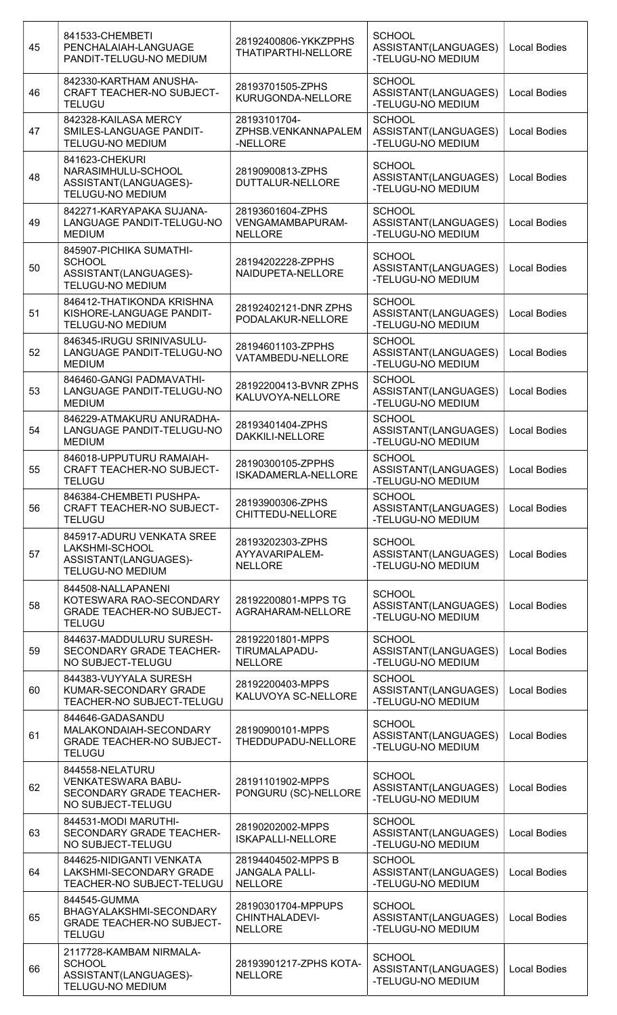| 45 | 841533-CHEMBETI<br>PENCHALAIAH-LANGUAGE<br>PANDIT-TELUGU-NO MEDIUM                                 | 28192400806-YKKZPPHS<br>THATIPARTHI-NELLORE                   | <b>SCHOOL</b><br>ASSISTANT(LANGUAGES)<br>-TELUGU-NO MEDIUM | <b>Local Bodies</b> |
|----|----------------------------------------------------------------------------------------------------|---------------------------------------------------------------|------------------------------------------------------------|---------------------|
| 46 | 842330-KARTHAM ANUSHA-<br><b>CRAFT TEACHER-NO SUBJECT-</b><br><b>TELUGU</b>                        | 28193701505-ZPHS<br>KURUGONDA-NELLORE                         | <b>SCHOOL</b><br>ASSISTANT(LANGUAGES)<br>-TELUGU-NO MEDIUM | <b>Local Bodies</b> |
| 47 | 842328-KAILASA MERCY<br>SMILES-LANGUAGE PANDIT-<br><b>TELUGU-NO MEDIUM</b>                         | 28193101704-<br>ZPHSB.VENKANNAPALEM<br>-NELLORE               | <b>SCHOOL</b><br>ASSISTANT(LANGUAGES)<br>-TELUGU-NO MEDIUM | Local Bodies        |
| 48 | 841623-CHEKURI<br>NARASIMHULU-SCHOOL<br>ASSISTANT(LANGUAGES)-<br>TELUGU-NO MEDIUM                  | 28190900813-ZPHS<br>DUTTALUR-NELLORE                          | <b>SCHOOL</b><br>ASSISTANT(LANGUAGES)<br>-TELUGU-NO MEDIUM | <b>Local Bodies</b> |
| 49 | 842271-KARYAPAKA SUJANA-<br>LANGUAGE PANDIT-TELUGU-NO<br><b>MEDIUM</b>                             | 28193601604-ZPHS<br>VENGAMAMBAPURAM-<br><b>NELLORE</b>        | <b>SCHOOL</b><br>ASSISTANT(LANGUAGES)<br>-TELUGU-NO MEDIUM | <b>Local Bodies</b> |
| 50 | 845907-PICHIKA SUMATHI-<br><b>SCHOOL</b><br>ASSISTANT(LANGUAGES)-<br><b>TELUGU-NO MEDIUM</b>       | 28194202228-ZPPHS<br>NAIDUPETA-NELLORE                        | <b>SCHOOL</b><br>ASSISTANT(LANGUAGES)<br>-TELUGU-NO MEDIUM | <b>Local Bodies</b> |
| 51 | 846412-THATIKONDA KRISHNA<br>KISHORE-LANGUAGE PANDIT-<br><b>TELUGU-NO MEDIUM</b>                   | 28192402121-DNR ZPHS<br>PODALAKUR-NELLORE                     | <b>SCHOOL</b><br>ASSISTANT(LANGUAGES)<br>-TELUGU-NO MEDIUM | <b>Local Bodies</b> |
| 52 | 846345-IRUGU SRINIVASULU-<br>LANGUAGE PANDIT-TELUGU-NO<br><b>MEDIUM</b>                            | 28194601103-ZPPHS<br>VATAMBEDU-NELLORE                        | <b>SCHOOL</b><br>ASSISTANT(LANGUAGES)<br>-TELUGU-NO MEDIUM | <b>Local Bodies</b> |
| 53 | 846460-GANGI PADMAVATHI-<br>LANGUAGE PANDIT-TELUGU-NO<br><b>MEDIUM</b>                             | 28192200413-BVNR ZPHS<br>KALUVOYA-NELLORE                     | <b>SCHOOL</b><br>ASSISTANT(LANGUAGES)<br>-TELUGU-NO MEDIUM | Local Bodies        |
| 54 | 846229-ATMAKURU ANURADHA-<br>LANGUAGE PANDIT-TELUGU-NO<br><b>MEDIUM</b>                            | 28193401404-ZPHS<br>DAKKILI-NELLORE                           | <b>SCHOOL</b><br>ASSISTANT(LANGUAGES)<br>-TELUGU-NO MEDIUM | <b>Local Bodies</b> |
| 55 | 846018-UPPUTURU RAMAIAH-<br>CRAFT TEACHER-NO SUBJECT-<br><b>TELUGU</b>                             | 28190300105-ZPPHS<br>ISKADAMERLA-NELLORE                      | <b>SCHOOL</b><br>ASSISTANT(LANGUAGES)<br>-TELUGU-NO MEDIUM | Local Bodies        |
| 56 | 846384-CHEMBETI PUSHPA-<br>CRAFT TEACHER-NO SUBJECT-<br><b>TELUGU</b>                              | 28193900306-ZPHS<br>CHITTEDU-NELLORE                          | <b>SCHOOL</b><br>ASSISTANT(LANGUAGES)<br>-TELUGU-NO MEDIUM | <b>Local Bodies</b> |
| 57 | 845917-ADURU VENKATA SREE<br>LAKSHMI-SCHOOL<br>ASSISTANT(LANGUAGES)-<br>TELUGU-NO MEDIUM           | 28193202303-ZPHS<br>AYYAVARIPALEM-<br><b>NELLORE</b>          | <b>SCHOOL</b><br>ASSISTANT(LANGUAGES)<br>-TELUGU-NO MEDIUM | <b>Local Bodies</b> |
| 58 | 844508-NALLAPANENI<br>KOTESWARA RAO-SECONDARY<br><b>GRADE TEACHER-NO SUBJECT-</b><br><b>TELUGU</b> | 28192200801-MPPS TG<br>AGRAHARAM-NELLORE                      | <b>SCHOOL</b><br>ASSISTANT(LANGUAGES)<br>-TELUGU-NO MEDIUM | <b>Local Bodies</b> |
| 59 | 844637-MADDULURU SURESH-<br>SECONDARY GRADE TEACHER-<br>NO SUBJECT-TELUGU                          | 28192201801-MPPS<br>TIRUMALAPADU-<br><b>NELLORE</b>           | <b>SCHOOL</b><br>ASSISTANT(LANGUAGES)<br>-TELUGU-NO MEDIUM | <b>Local Bodies</b> |
| 60 | 844383-VUYYALA SURESH<br>KUMAR-SECONDARY GRADE<br>TEACHER-NO SUBJECT-TELUGU                        | 28192200403-MPPS<br>KALUVOYA SC-NELLORE                       | <b>SCHOOL</b><br>ASSISTANT(LANGUAGES)<br>-TELUGU-NO MEDIUM | <b>Local Bodies</b> |
| 61 | 844646-GADASANDU<br>MALAKONDAIAH-SECONDARY<br><b>GRADE TEACHER-NO SUBJECT-</b><br><b>TELUGU</b>    | 28190900101-MPPS<br>THEDDUPADU-NELLORE                        | <b>SCHOOL</b><br>ASSISTANT(LANGUAGES)<br>-TELUGU-NO MEDIUM | Local Bodies        |
| 62 | 844558-NELATURU<br><b>VENKATESWARA BABU-</b><br>SECONDARY GRADE TEACHER-<br>NO SUBJECT-TELUGU      | 28191101902-MPPS<br>PONGURU (SC)-NELLORE                      | <b>SCHOOL</b><br>ASSISTANT(LANGUAGES)<br>-TELUGU-NO MEDIUM | <b>Local Bodies</b> |
| 63 | 844531-MODI MARUTHI-<br>SECONDARY GRADE TEACHER-<br>NO SUBJECT-TELUGU                              | 28190202002-MPPS<br><b>ISKAPALLI-NELLORE</b>                  | <b>SCHOOL</b><br>ASSISTANT(LANGUAGES)<br>-TELUGU-NO MEDIUM | <b>Local Bodies</b> |
| 64 | 844625-NIDIGANTI VENKATA<br>LAKSHMI-SECONDARY GRADE<br>TEACHER-NO SUBJECT-TELUGU                   | 28194404502-MPPS B<br><b>JANGALA PALLI-</b><br><b>NELLORE</b> | <b>SCHOOL</b><br>ASSISTANT(LANGUAGES)<br>-TELUGU-NO MEDIUM | <b>Local Bodies</b> |
| 65 | 844545-GUMMA<br>BHAGYALAKSHMI-SECONDARY<br><b>GRADE TEACHER-NO SUBJECT-</b><br><b>TELUGU</b>       | 28190301704-MPPUPS<br>CHINTHALADEVI-<br>NELLORE               | <b>SCHOOL</b><br>ASSISTANT(LANGUAGES)<br>-TELUGU-NO MEDIUM | <b>Local Bodies</b> |
| 66 | 2117728-KAMBAM NIRMALA-<br><b>SCHOOL</b><br>ASSISTANT(LANGUAGES)-<br>TELUGU-NO MEDIUM              | 28193901217-ZPHS KOTA-<br><b>NELLORE</b>                      | <b>SCHOOL</b><br>ASSISTANT(LANGUAGES)<br>-TELUGU-NO MEDIUM | Local Bodies        |